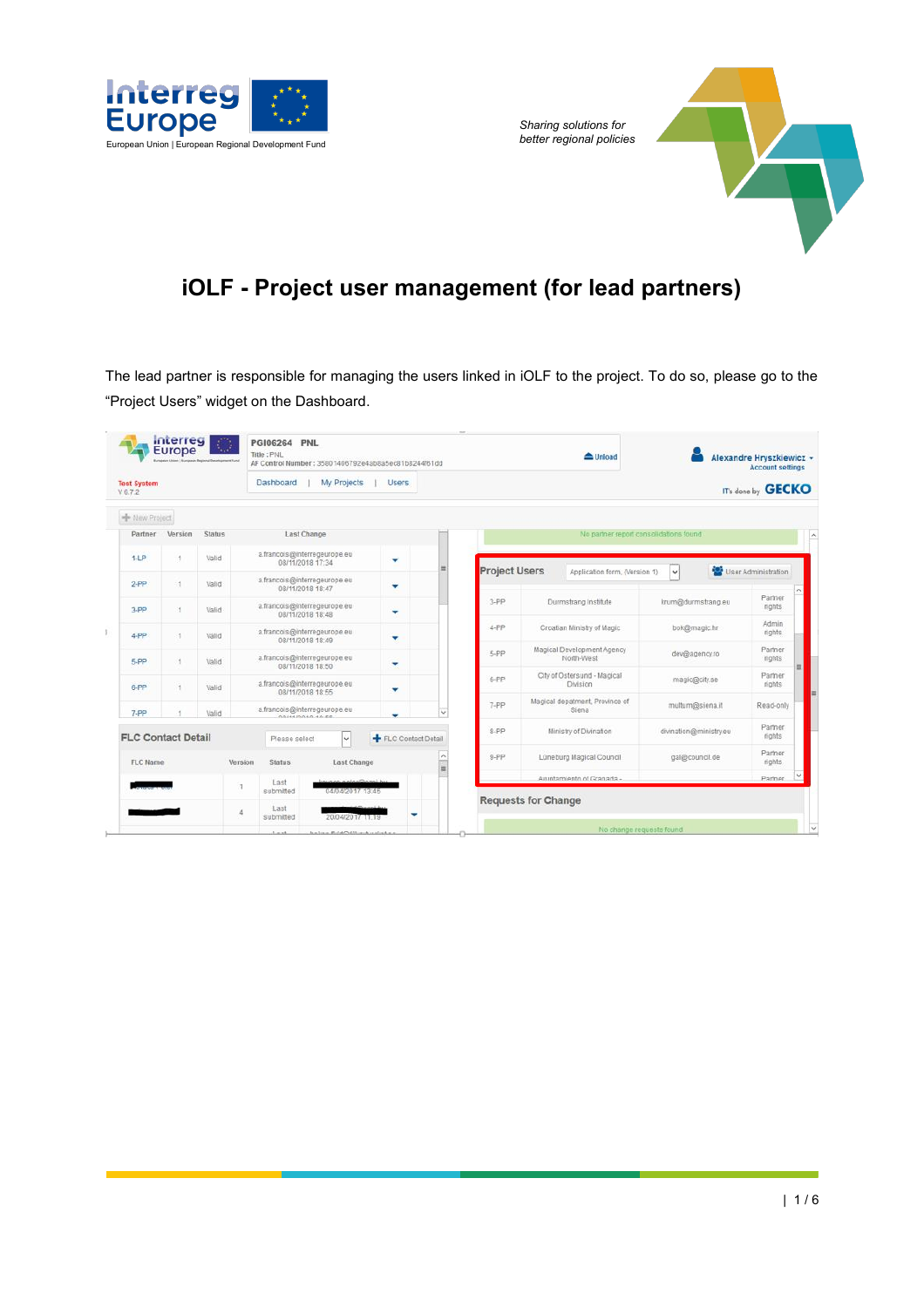

*Sharing solutions for* 

# **iOLF - Project user management (for lead partners)**

The lead partner is responsible for managing the users linked in iOLF to the project. To do so, please go to the "Project Users" widget on the Dashboard.

|                | Interreg<br>Europe<br>European Union   European Regional Development Fund |        | <b>PGI06264 PNL</b><br>Title: PNL               |                  |                                             | AF Control Number: 35801406792e4ab8a5ec81b8244f61dd |   |             |                      |                            | $\triangle$ Unload                       |              |                        | Alexandre Hryszkiewicz +<br><b>Account settings</b> |         |
|----------------|---------------------------------------------------------------------------|--------|-------------------------------------------------|------------------|---------------------------------------------|-----------------------------------------------------|---|-------------|----------------------|----------------------------|------------------------------------------|--------------|------------------------|-----------------------------------------------------|---------|
| V6.7.2         | Dashboard<br>My Projects<br><b>Test System</b>                            |        |                                                 |                  | <b>Users</b>                                |                                                     |   |             |                      |                            |                                          |              | IT's done by GECKO     |                                                     |         |
| New Project    |                                                                           |        |                                                 |                  |                                             |                                                     |   |             |                      |                            |                                          |              |                        |                                                     |         |
| Partner        | Version                                                                   | Status |                                                 | Last Change      |                                             |                                                     |   |             |                      |                            | No partner report consolidations found   |              |                        |                                                     |         |
| $1 - LP$       | $\mathbf{1}$                                                              | Valid  |                                                 | 08/11/2018 17:34 | a.francois@interregeurope.eu                | ٠                                                   |   |             | <b>Project Users</b> |                            | Application form, (Version 1)            | $\checkmark$ |                        | User Administration                                 |         |
| $2 - PP$       | $\mathcal{A}$                                                             | Valid  |                                                 | 08/11/2018 18:47 | a.francois@interregeurope.eu                | ۰                                                   |   |             |                      |                            |                                          |              |                        |                                                     | $\land$ |
| $3-PP$         | 1                                                                         | Valid  |                                                 | 08/11/2018 18:48 | a.francois@interregeurope.eu                | ٠                                                   |   |             | $3$ -PP              |                            | Durmstrang Institute                     |              | krum@durmstrang.eu     | Partner<br>rights                                   |         |
| f.<br>$4 - PP$ | $\mathcal{A}$                                                             | Valid  |                                                 | 08/11/2018 18:49 | a.francois@interregeurope.eu                | ۰                                                   |   |             | 4-PP                 |                            | Croatian Ministry of Magic               |              | bok@magic.hr           | Admin<br>rights                                     |         |
| 5-PP           | м                                                                         | Valid  |                                                 | 08/11/2018 18:50 | a.francois@interregeurope.eu                | ۰                                                   |   |             | 5-PP                 |                            | Magical Development Agency<br>North-West |              | dev@agency.ro          | Partner<br>rights                                   |         |
| $6-PP$         | 1                                                                         | Valid  |                                                 | 08/11/2018 18:55 | a.francois@interregeurope.eu                | ٠                                                   |   |             | 6-PP                 |                            | City of Östersund - Magical<br>Division  |              | magic@city.se          | Partner<br>rights                                   | E       |
| $7-PP$         |                                                                           | Valid  |                                                 | GOILEDOAD 40.50  | a.francois@interregeurope.eu                | ٠                                                   |   | $\check{~}$ | 7-PP                 |                            | Magical depatment, Province of<br>Siena  |              | multum@siena.it        | Read-only                                           |         |
|                | <b>FLC Contact Detail</b>                                                 |        |                                                 | Please select    | w                                           | FLC Contact Detail                                  |   |             | 8-PP                 |                            | Ministry of Divination                   |              | divination@ministry.eu | Partner<br>rights                                   |         |
| FLC Name       |                                                                           |        | Version<br><b>Status</b>                        |                  | <b>Last Change</b>                          |                                                     |   | $\equiv$    | $9 - PP$             |                            | Lüneburg Magical Council                 |              | gal@council.de         | Partner<br>rights                                   |         |
|                |                                                                           |        | Last<br>đ                                       |                  |                                             |                                                     |   |             |                      |                            | Auuntamiento of Granada -                |              |                        | Partner                                             |         |
|                |                                                                           |        | submitted<br>Last<br>$\frac{1}{2}$<br>submitted |                  | 04/04/2017 13:45<br>20/04/2017 11:19        |                                                     | ᢦ |             |                      | <b>Requests for Change</b> |                                          |              |                        |                                                     |         |
|                |                                                                           |        | Arrest Made                                     |                  | Automobile Republic Millen and Contract and |                                                     |   |             |                      |                            | No change requests found                 |              |                        |                                                     | v       |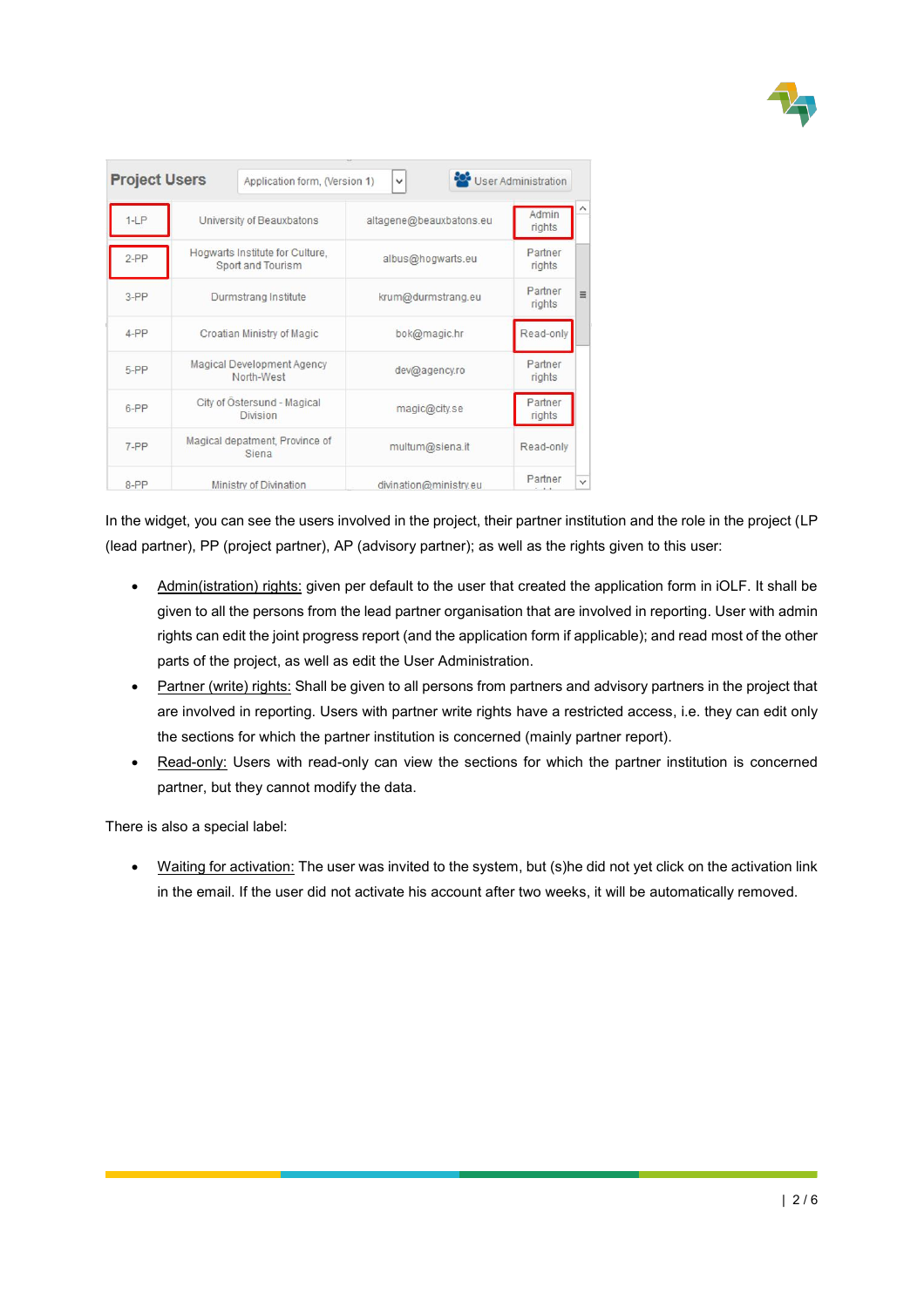

| <b>Project Users</b> |                                                      | Application form, (Version 1) | $\checkmark$            | User Administration |              |
|----------------------|------------------------------------------------------|-------------------------------|-------------------------|---------------------|--------------|
| $1-LP$               | University of Beauxbatons                            |                               | altagene@beauxbatons.eu | Admin<br>rights     |              |
| $2-PP$               | Hogwarts Institute for Culture,<br>Sport and Tourism |                               | albus@hogwarts.eu       | Partner<br>rights   |              |
| $3-PP$               | Durmstrang Institute                                 |                               | krum@durmstrang.eu      | Partner<br>rights   | $\equiv$     |
| $4-PP$               | Croatian Ministry of Magic                           |                               | bok@magic.hr            | Read-only           |              |
| 5-PP                 | Magical Development Agency<br>North-West             |                               | dev@agency.ro           | Partner<br>rights   |              |
| 6-PP                 | City of Östersund - Magical<br><b>Division</b>       |                               | magic@city.se           | Partner<br>rights   |              |
| 7-PP                 | Magical depatment, Province of<br>Siena              |                               | multum@siena.it         | Read-only           |              |
| 8-PP                 | Ministry of Divination                               |                               | divination@ministry.eu  | Partner             | $\checkmark$ |

In the widget, you can see the users involved in the project, their partner institution and the role in the project (LP (lead partner), PP (project partner), AP (advisory partner); as well as the rights given to this user:

- Admin(istration) rights: given per default to the user that created the application form in iOLF. It shall be given to all the persons from the lead partner organisation that are involved in reporting. User with admin rights can edit the joint progress report (and the application form if applicable); and read most of the other parts of the project, as well as edit the User Administration.
- Partner (write) rights: Shall be given to all persons from partners and advisory partners in the project that are involved in reporting. Users with partner write rights have a restricted access, i.e. they can edit only the sections for which the partner institution is concerned (mainly partner report).
- Read-only: Users with read-only can view the sections for which the partner institution is concerned partner, but they cannot modify the data.

There is also a special label:

Waiting for activation: The user was invited to the system, but (s)he did not yet click on the activation link in the email. If the user did not activate his account after two weeks, it will be automatically removed.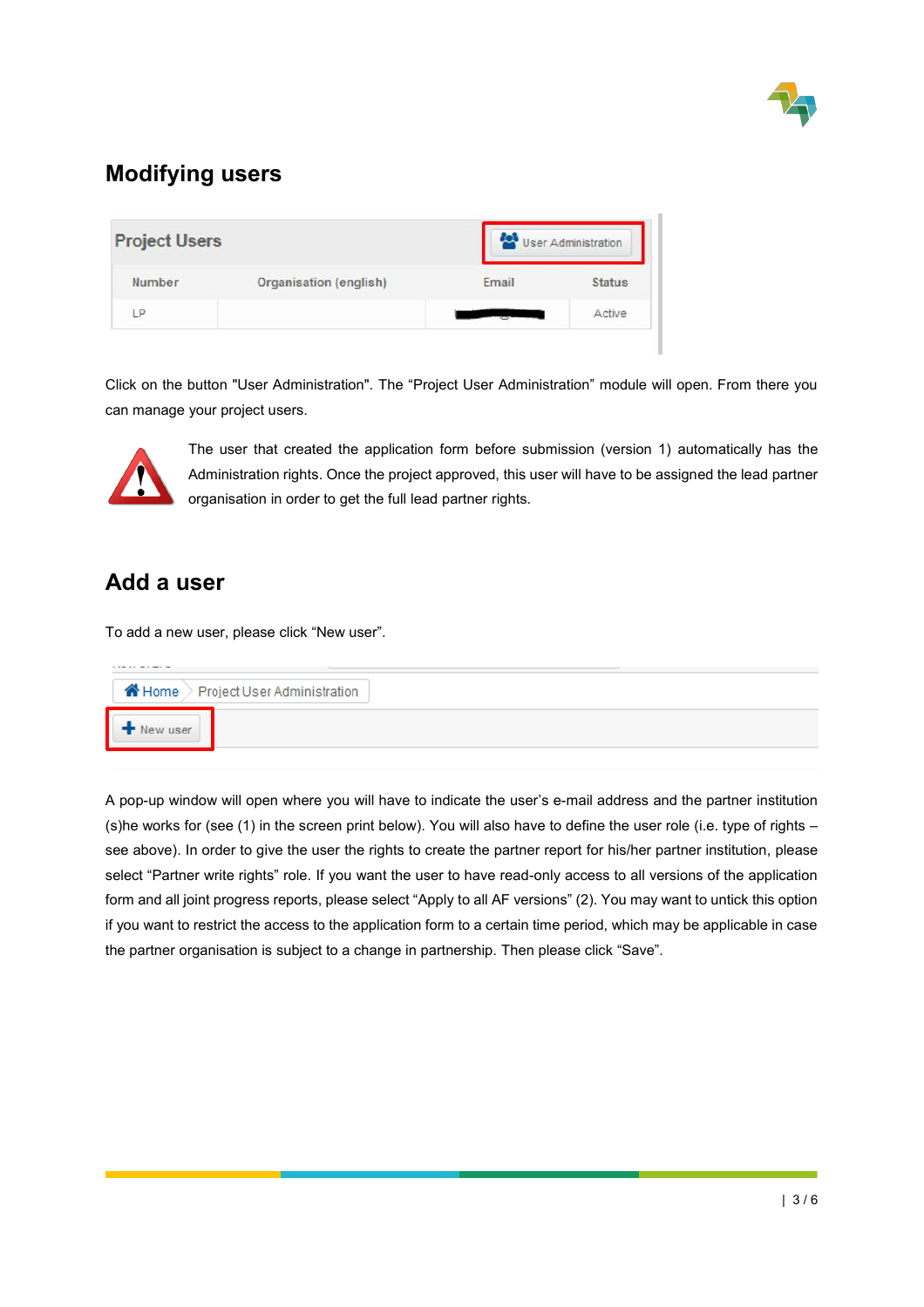

### **Modifying users**

| <b>Project Users</b> |                        | User Administration |               |  |
|----------------------|------------------------|---------------------|---------------|--|
| Number               | Organisation (english) | Email               | <b>Status</b> |  |
| D                    |                        |                     | Active        |  |

Click on the button "User Administration". The "Project User Administration" module will open. From there you can manage your project users.



The user that created the application form before submission (version 1) automatically has the Administration rights. Once the project approved, this user will have to be assigned the lead partner organisation in order to get the full lead partner rights.

#### **Add a user**

To add a new user, please click "New user".

| $\blacktriangleright$ New user |
|--------------------------------|
|                                |

A pop-up window will open where you will have to indicate the user's e-mail address and the partner institution (s)he works for (see (1) in the screen print below). You will also have to define the user role (i.e. type of rights – see above). In order to give the user the rights to create the partner report for his/her partner institution, please select "Partner write rights" role. If you want the user to have read-only access to all versions of the application form and all joint progress reports, please select "Apply to all AF versions" (2). You may want to untick this option if you want to restrict the access to the application form to a certain time period, which may be applicable in case the partner organisation is subject to a change in partnership. Then please click "Save".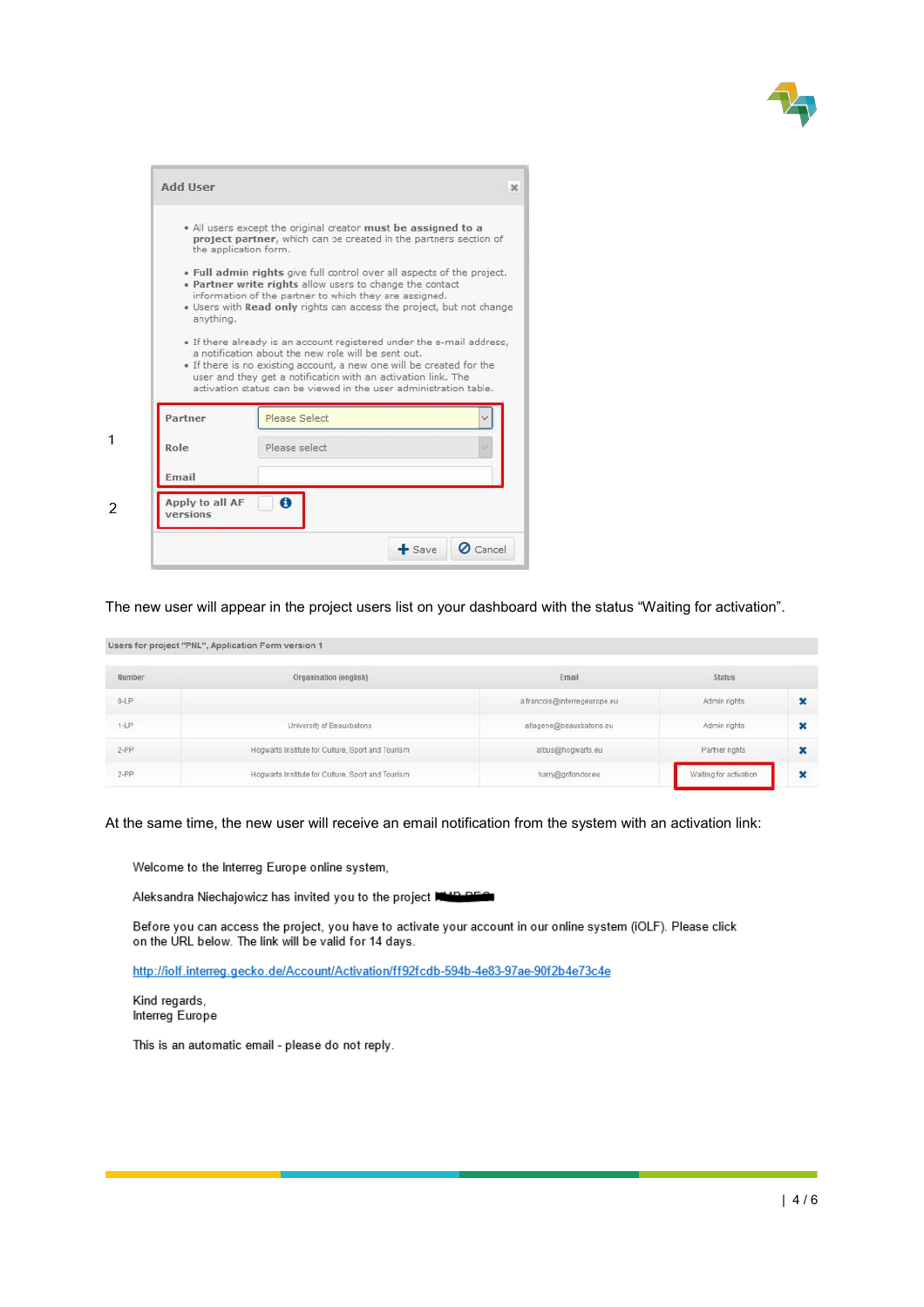

|           | * All users except the original creator must be assigned to a<br>project partner, which can be created in the partners section of<br>the application form.                                                                                                                                                                                                  |  |
|-----------|-------------------------------------------------------------------------------------------------------------------------------------------------------------------------------------------------------------------------------------------------------------------------------------------------------------------------------------------------------------|--|
|           | . Full admin rights give full control over all aspects of the project.<br>. Partner write rights allow users to change the contact<br>information of the partner to which they are assigned.<br>. Users with Read only rights can access the project, but not change                                                                                        |  |
| anything. |                                                                                                                                                                                                                                                                                                                                                             |  |
| Partner   | . If there already is an account registered under the e-mail address,<br>a notification about the new role will be sent out.<br>• If there is no existing account, a new one will be created for the<br>user and they get a notification with an activation link. The<br>activation status can be viewed in the user administration table.<br>Please Select |  |
| Role      | Please select                                                                                                                                                                                                                                                                                                                                               |  |
| Email     |                                                                                                                                                                                                                                                                                                                                                             |  |

The new user will appear in the project users list on your dashboard with the status "Waiting for activation".

Users for project "PNL", Application Form version 1

| Number   | Organisation (english)                            | Email                        | Status                 |  |
|----------|---------------------------------------------------|------------------------------|------------------------|--|
| $0 - LP$ |                                                   | a.francois@interregeurope.eu | Admin rights           |  |
| $1 - LP$ | University of Beauxbatons                         | altagene@beauxbalons.eu      | Admin rights           |  |
| $2-PP$   | Hogwarts Institute for Culture, Sport and Tourism | albus@hogwarts.eu            | Partner rights         |  |
| $2-PP$   | Hogwarts Institute for Culture, Sport and Tourism | harry@grifondor.eu           | Waiting for activation |  |

At the same time, the new user will receive an email notification from the system with an activation link:

Welcome to the Interreg Europe online system,

Aleksandra Niechajowicz has invited you to the project NHO DECT

Before you can access the project, you have to activate your account in our online system (iOLF). Please click on the URL below. The link will be valid for 14 days.

http://iolf.interreg.gecko.de/Account/Activation/ff92fcdb-594b-4e83-97ae-90f2b4e73c4e

Kind regards, Interreg Europe

This is an automatic email - please do not reply.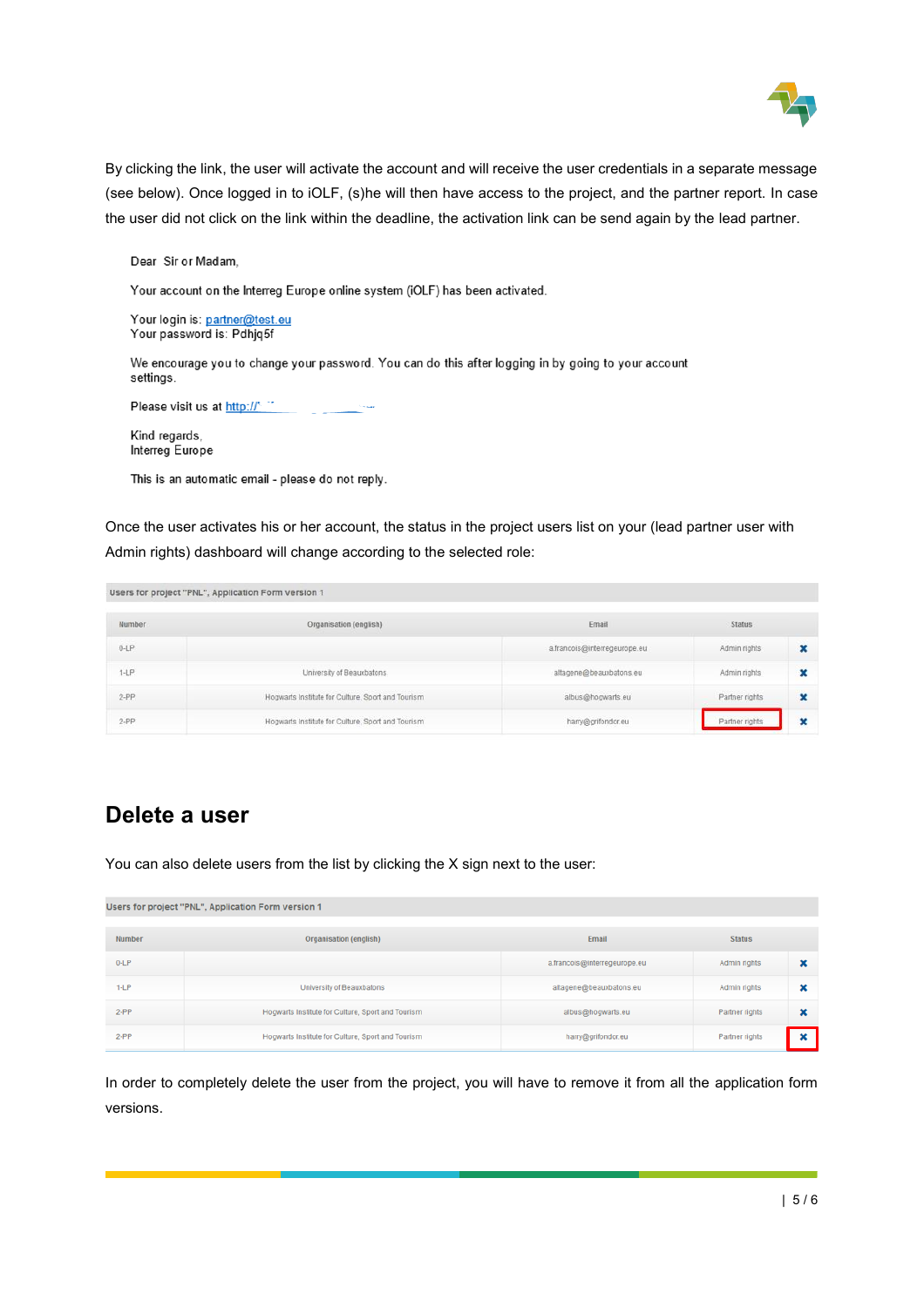

By clicking the link, the user will activate the account and will receive the user credentials in a separate message (see below). Once logged in to iOLF, (s)he will then have access to the project, and the partner report. In case the user did not click on the link within the deadline, the activation link can be send again by the lead partner.

Dear Sir or Madam,

Your account on the Interreg Europe online system (iOLF) has been activated.

Your login is: partner@test.eu Your password is: Pdhjq5f

We encourage you to change your password. You can do this after logging in by going to your account settings.

Please visit us at http://

Kind regards, Interreg Europe

This is an automatic email - please do not reply.

Once the user activates his or her account, the status in the project users list on your (lead partner user with Admin rights) dashboard will change according to the selected role:

Users for project "PNL", Application Form version 1

| Number   | Organisation (english)                            | Email                        | <b>Status</b>  |   |
|----------|---------------------------------------------------|------------------------------|----------------|---|
| $0 - LP$ |                                                   | a.francois@interregeurope.eu | Admin rights   |   |
| $1-LP$   | University of Beauxbatons                         | altagene@beauxbatons.eu      | Admin rights   |   |
| $2-PP$   | Hogwarts Institute for Culture, Sport and Tourism | albus@hogwarts.eu            | Partner rights | × |
| $2 - PP$ | Hogwarts Institute for Culture, Sport and Tourism | harry@grifondor.eu           | Partner rights |   |

#### **Delete a user**

You can also delete users from the list by clicking the X sign next to the user:

| Users for project "PNL", Application Form version 1 |                                                   |                              |                |   |  |  |  |
|-----------------------------------------------------|---------------------------------------------------|------------------------------|----------------|---|--|--|--|
| Number                                              | Organisation (english)                            | Email                        | <b>Status</b>  |   |  |  |  |
| $0 - LP$                                            |                                                   | a.francois@interregeurope.eu | Admin rights   | × |  |  |  |
| $1 - LP$                                            | University of Beauxbatons                         | altagene@beauxbatons.eu      | Admin rights   | × |  |  |  |
| $2-PP$                                              | Hogwarts Institute for Culture, Sport and Tourism | albus@hogwarts.eu            | Partner rights | × |  |  |  |
| $2-PP$                                              | Hogwarts Institute for Culture, Sport and Tourism | harry@grifondor.eu           | Partner rights |   |  |  |  |

In order to completely delete the user from the project, you will have to remove it from all the application form versions.